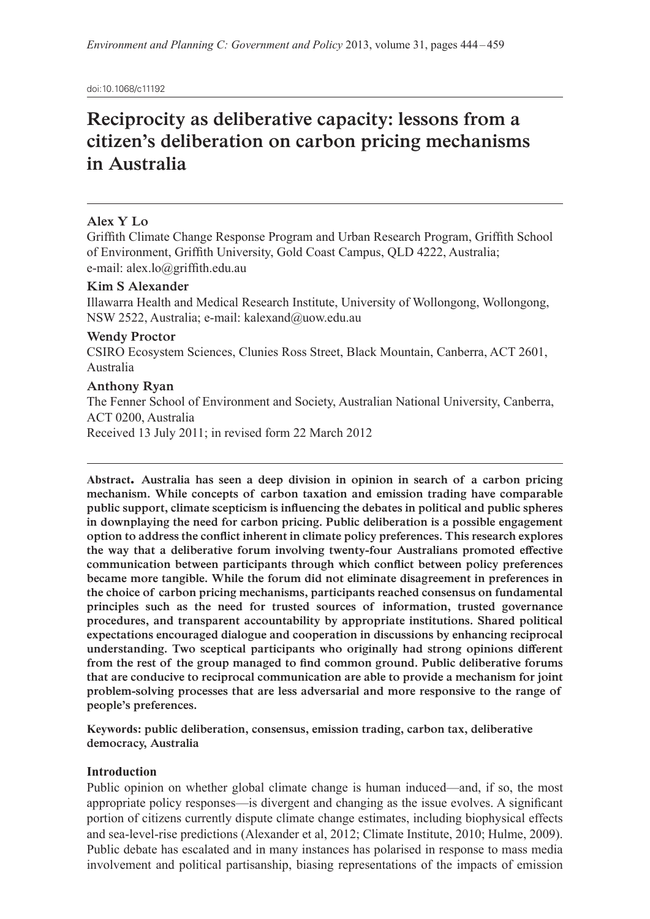doi:10.1068/c11192

# **Reciprocity as deliberative capacity: lessons from a citizen's deliberation on carbon pricing mechanisms in Australia**

## **Alex Y Lo**

Griffith Climate Change Response Program and Urban Research Program, Griffith School of Environment, Griffith University, Gold Coast Campus, QLD 4222, Australia; e-mail: alex.lo@griffith.edu.au

# **Kim S Alexander**

Illawarra Health and Medical Research Institute, University of Wollongong, Wollongong, NSW 2522, Australia; e-mail: kalexand@uow.edu.au

## **Wendy Proctor**

CSIRO Ecosystem Sciences, Clunies Ross Street, Black Mountain, Canberra, ACT 2601, Australia

## **Anthony Ryan**

The Fenner School of Environment and Society, Australian National University, Canberra, ACT 0200, Australia

Received 13 July 2011; in revised form 22 March 2012

**Abstract. Australia has seen a deep division in opinion in search of a carbon pricing mechanism. While concepts of carbon taxation and emission trading have comparable**  public support, climate scepticism is influencing the debates in political and public spheres **in downplaying the need for carbon pricing. Public deliberation is a possible engagement option to address the conflict inherent in climate policy preferences. This research explores** the way that a deliberative forum involving twenty-four Australians promoted effective communication between participants through which conflict between policy preferences **became more tangible. While the forum did not eliminate disagreement in preferences in the choice of carbon pricing mechanisms, participants reached consensus on fundamental principles such as the need for trusted sources of information, trusted governance procedures, and transparent accountability by appropriate institutions. Shared political expectations encouraged dialogue and cooperation in discussions by enhancing reciprocal**  understanding. Two sceptical participants who originally had strong opinions different from the rest of the group managed to find common ground. Public deliberative forums **that are conducive to reciprocal communication are able to provide a mechanism for joint problem-solving processes that are less adversarial and more responsive to the range of people's preferences.** 

**Keywords: public deliberation, consensus, emission trading, carbon tax, deliberative democracy, Australia**

# **Introduction**

Public opinion on whether global climate change is human induced—and, if so, the most appropriate policy responses—is divergent and changing as the issue evolves. A significant portion of citizens currently dispute climate change estimates, including biophysical effects and sea-level-rise predictions (Alexander et al, 2012; Climate Institute, 2010; Hulme, 2009). Public debate has escalated and in many instances has polarised in response to mass media involvement and political partisanship, biasing representations of the impacts of emission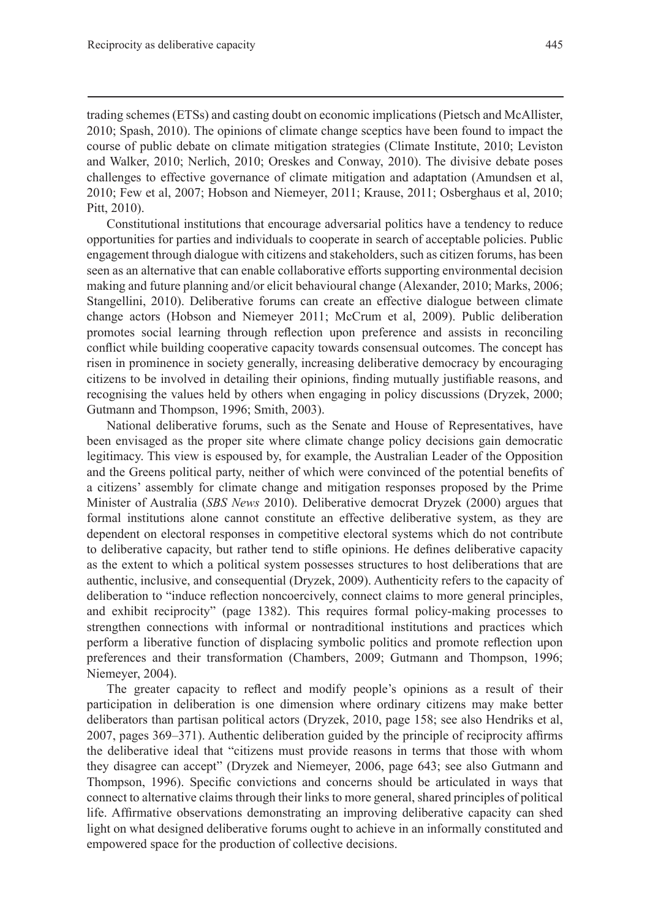trading schemes (ETSs) and casting doubt on economic implications (Pietsch and McAllister, 2010; Spash, 2010). The opinions of climate change sceptics have been found to impact the course of public debate on climate mitigation strategies (Climate Institute, 2010; Leviston and Walker, 2010; Nerlich, 2010; Oreskes and Conway, 2010). The divisive debate poses challenges to effective governance of climate mitigation and adaptation (Amundsen et al, 2010; Few et al, 2007; Hobson and Niemeyer, 2011; Krause, 2011; Osberghaus et al, 2010; Pitt, 2010).

Constitutional institutions that encourage adversarial politics have a tendency to reduce opportunities for parties and individuals to cooperate in search of acceptable policies. Public engagement through dialogue with citizens and stakeholders, such as citizen forums, has been seen as an alternative that can enable collaborative efforts supporting environmental decision making and future planning and/or elicit behavioural change (Alexander, 2010; Marks, 2006; Stangellini, 2010). Deliberative forums can create an effective dialogue between climate change actors (Hobson and Niemeyer 2011; McCrum et al, 2009). Public deliberation promotes social learning through reflection upon preference and assists in reconciling conflict while building cooperative capacity towards consensual outcomes. The concept has risen in prominence in society generally, increasing deliberative democracy by encouraging citizens to be involved in detailing their opinions, finding mutually justifiable reasons, and recognising the values held by others when engaging in policy discussions (Dryzek, 2000; Gutmann and Thompson, 1996; Smith, 2003).

National deliberative forums, such as the Senate and House of Representatives, have been envisaged as the proper site where climate change policy decisions gain democratic legitimacy. This view is espoused by, for example, the Australian Leader of the Opposition and the Greens political party, neither of which were convinced of the potential benefits of a citizens' assembly for climate change and mitigation responses proposed by the Prime Minister of Australia (*SBS News* 2010). Deliberative democrat Dryzek (2000) argues that formal institutions alone cannot constitute an effective deliberative system, as they are dependent on electoral responses in competitive electoral systems which do not contribute to deliberative capacity, but rather tend to stifle opinions. He defines deliberative capacity as the extent to which a political system possesses structures to host deliberations that are authentic, inclusive, and consequential (Dryzek, 2009). Authenticity refers to the capacity of deliberation to "induce reflection noncoercively, connect claims to more general principles, and exhibit reciprocity" (page 1382). This requires formal policy-making processes to strengthen connections with informal or nontraditional institutions and practices which perform a liberative function of displacing symbolic politics and promote reflection upon preferences and their transformation (Chambers, 2009; Gutmann and Thompson, 1996; Niemeyer, 2004).

The greater capacity to reflect and modify people's opinions as a result of their participation in deliberation is one dimension where ordinary citizens may make better deliberators than partisan political actors (Dryzek, 2010, page 158; see also Hendriks et al,  $2007$ , pages  $369-371$ ). Authentic deliberation guided by the principle of reciprocity affirms the deliberative ideal that "citizens must provide reasons in terms that those with whom they disagree can accept" (Dryzek and Niemeyer, 2006, page 643; see also Gutmann and Thompson, 1996). Specific convictions and concerns should be articulated in ways that connect to alternative claims through their links to more general, shared principles of political life. Affirmative observations demonstrating an improving deliberative capacity can shed light on what designed deliberative forums ought to achieve in an informally constituted and empowered space for the production of collective decisions.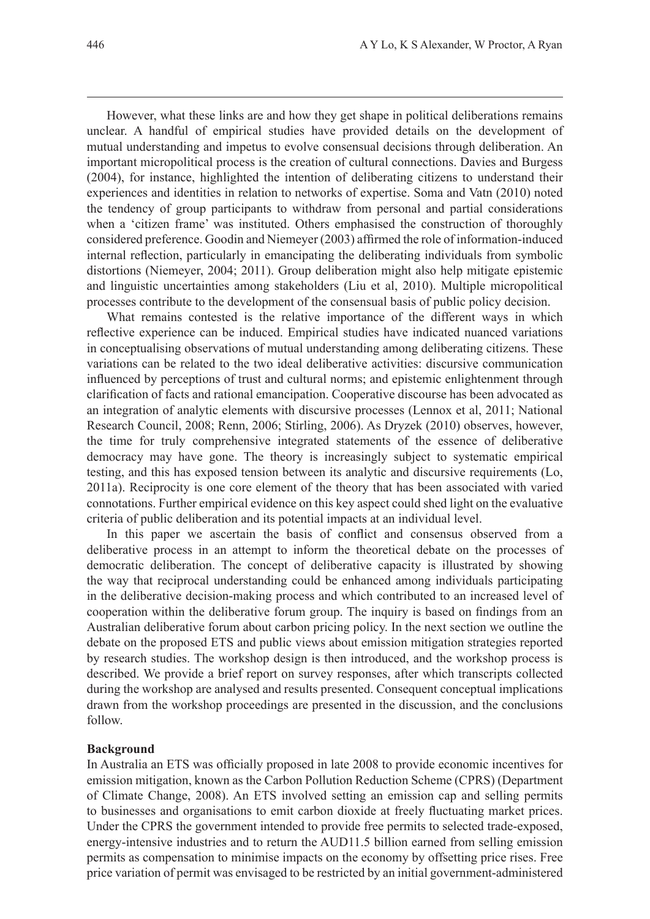However, what these links are and how they get shape in political deliberations remains unclear. A handful of empirical studies have provided details on the development of mutual understanding and impetus to evolve consensual decisions through deliberation. An important micropolitical process is the creation of cultural connections. Davies and Burgess (2004), for instance, highlighted the intention of deliberating citizens to understand their experiences and identities in relation to networks of expertise. Soma and Vatn (2010) noted the tendency of group participants to withdraw from personal and partial considerations when a 'citizen frame' was instituted. Others emphasised the construction of thoroughly considered preference. Goodin and Niemeyer (2003) affirmed the role of information-induced internal reflection, particularly in emancipating the deliberating individuals from symbolic distortions (Niemeyer, 2004; 2011). Group deliberation might also help mitigate epistemic and linguistic uncertainties among stakeholders (Liu et al, 2010). Multiple micropolitical processes contribute to the development of the consensual basis of public policy decision.

What remains contested is the relative importance of the different ways in which reflective experience can be induced. Empirical studies have indicated nuanced variations in conceptualising observations of mutual understanding among deliberating citizens. These variations can be related to the two ideal deliberative activities: discursive communication influenced by perceptions of trust and cultural norms; and epistemic enlightenment through clarifi cation of facts and rational emancipation. Cooperative discourse has been advocated as an integration of analytic elements with discursive processes (Lennox et al, 2011; National Research Council, 2008; Renn, 2006; Stirling, 2006). As Dryzek (2010) observes, however, the time for truly comprehensive integrated statements of the essence of deliberative democracy may have gone. The theory is increasingly subject to systematic empirical testing, and this has exposed tension between its analytic and discursive requirements (Lo, 2011a). Reciprocity is one core element of the theory that has been associated with varied connotations. Further empirical evidence on this key aspect could shed light on the evaluative criteria of public deliberation and its potential impacts at an individual level.

In this paper we ascertain the basis of conflict and consensus observed from a deliberative process in an attempt to inform the theoretical debate on the processes of democratic deliberation. The concept of deliberative capacity is illustrated by showing the way that reciprocal understanding could be enhanced among individuals participating in the deliberative decision-making process and which contributed to an increased level of cooperation within the deliberative forum group. The inquiry is based on findings from an Australian deliberative forum about carbon pricing policy. In the next section we outline the debate on the proposed ETS and public views about emission mitigation strategies reported by research studies. The workshop design is then introduced, and the workshop process is described. We provide a brief report on survey responses, after which transcripts collected during the workshop are analysed and results presented. Consequent conceptual implications drawn from the workshop proceedings are presented in the discussion, and the conclusions follow.

#### **Background**

In Australia an ETS was officially proposed in late 2008 to provide economic incentives for emission mitigation, known as the Carbon Pollution Reduction Scheme (CPRS) (Department of Climate Change, 2008). An ETS involved setting an emission cap and selling permits to businesses and organisations to emit carbon dioxide at freely fluctuating market prices. Under the CPRS the government intended to provide free permits to selected trade-exposed, energy-intensive industries and to return the AUD11.5 billion earned from selling emission permits as compensation to minimise impacts on the economy by offsetting price rises. Free price variation of permit was envisaged to be restricted by an initial government-administered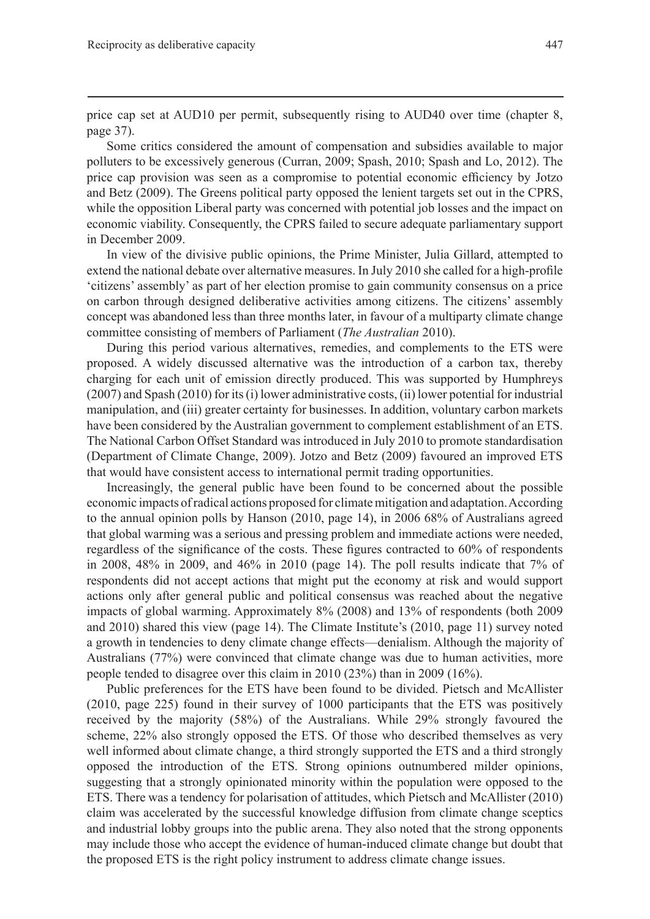price cap set at AUD10 per permit, subsequently rising to AUD40 over time (chapter 8, page 37).

Some critics considered the amount of compensation and subsidies available to major polluters to be excessively generous (Curran, 2009; Spash, 2010; Spash and Lo, 2012). The price cap provision was seen as a compromise to potential economic efficiency by Jotzo and Betz (2009). The Greens political party opposed the lenient targets set out in the CPRS, while the opposition Liberal party was concerned with potential job losses and the impact on economic viability. Consequently, the CPRS failed to secure adequate parliamentary support in December 2009.

In view of the divisive public opinions, the Prime Minister, Julia Gillard, attempted to extend the national debate over alternative measures. In July 2010 she called for a high-profile 'citizens' assembly' as part of her election promise to gain community consensus on a price on carbon through designed deliberative activities among citizens. The citizens' assembly concept was abandoned less than three months later, in favour of a multiparty climate change committee consisting of members of Parliament (*The Australian* 2010).

During this period various alternatives, remedies, and complements to the ETS were proposed. A widely discussed alternative was the introduction of a carbon tax, thereby charging for each unit of emission directly produced. This was supported by Humphreys (2007) and Spash (2010) for its (i) lower administrative costs, (ii) lower potential for industrial manipulation, and (iii) greater certainty for businesses. In addition, voluntary carbon markets have been considered by the Australian government to complement establishment of an ETS. The National Carbon Offset Standard was introduced in July 2010 to promote standardisation (Department of Climate Change, 2009). Jotzo and Betz (2009) favoured an improved ETS that would have consistent access to international permit trading opportunities.

Increasingly, the general public have been found to be concerned about the possible economic impacts of radical actions proposed for climate mitigation and adaptation. According to the annual opinion polls by Hanson (2010, page 14), in 2006 68% of Australians agreed that global warming was a serious and pressing problem and immediate actions were needed, regardless of the significance of the costs. These figures contracted to 60% of respondents in 2008, 48% in 2009, and 46% in 2010 (page 14). The poll results indicate that 7% of respondents did not accept actions that might put the economy at risk and would support actions only after general public and political consensus was reached about the negative impacts of global warming. Approximately 8% (2008) and 13% of respondents (both 2009 and 2010) shared this view (page 14). The Climate Institute's (2010, page 11) survey noted a growth in tendencies to deny climate change effects—denialism. Although the majority of Australians (77%) were convinced that climate change was due to human activities, more people tended to disagree over this claim in 2010 (23%) than in 2009 (16%).

Public preferences for the ETS have been found to be divided. Pietsch and McAllister (2010, page 225) found in their survey of 1000 participants that the ETS was positively received by the majority (58%) of the Australians. While 29% strongly favoured the scheme, 22% also strongly opposed the ETS. Of those who described themselves as very well informed about climate change, a third strongly supported the ETS and a third strongly opposed the introduction of the ETS. Strong opinions outnumbered milder opinions, suggesting that a strongly opinionated minority within the population were opposed to the ETS. There was a tendency for polarisation of attitudes, which Pietsch and McAllister (2010) claim was accelerated by the successful knowledge diffusion from climate change sceptics and industrial lobby groups into the public arena. They also noted that the strong opponents may include those who accept the evidence of human-induced climate change but doubt that the proposed ETS is the right policy instrument to address climate change issues.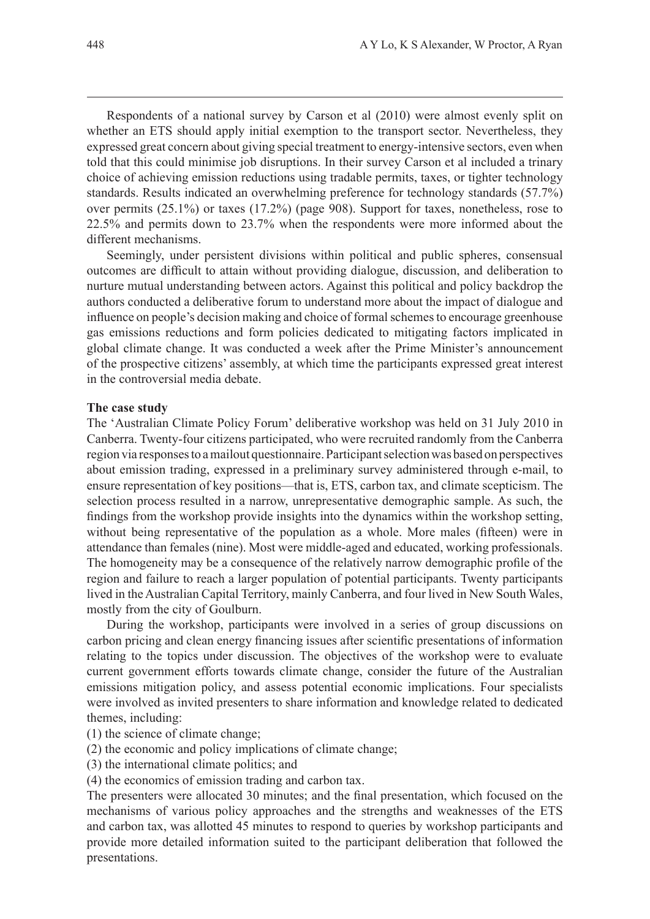Respondents of a national survey by Carson et al (2010) were almost evenly split on whether an ETS should apply initial exemption to the transport sector. Nevertheless, they expressed great concern about giving special treatment to energy-intensive sectors, even when told that this could minimise job disruptions. In their survey Carson et al included a trinary choice of achieving emission reductions using tradable permits, taxes, or tighter technology standards. Results indicated an overwhelming preference for technology standards (57.7%) over permits (25.1%) or taxes (17.2%) (page 908). Support for taxes, nonetheless, rose to 22.5% and permits down to 23.7% when the respondents were more informed about the different mechanisms.

Seemingly, under persistent divisions within political and public spheres, consensual outcomes are difficult to attain without providing dialogue, discussion, and deliberation to nurture mutual understanding between actors. Against this political and policy backdrop the authors conducted a deliberative forum to understand more about the impact of dialogue and influence on people's decision making and choice of formal schemes to encourage greenhouse gas emissions reductions and form policies dedicated to mitigating factors implicated in global climate change. It was conducted a week after the Prime Minister's announcement of the prospective citizens' assembly, at which time the participants expressed great interest in the controversial media debate.

## **The case study**

The 'Australian Climate Policy Forum' deliberative workshop was held on 31 July 2010 in Canberra. Twenty-four citizens participated, who were recruited randomly from the Canberra region via responses to a mailout questionnaire. Participant selection was based on perspectives about emission trading, expressed in a preliminary survey administered through e-mail, to ensure representation of key positions—that is, ETS, carbon tax, and climate scepticism. The selection process resulted in a narrow, unrepresentative demographic sample. As such, the findings from the workshop provide insights into the dynamics within the workshop setting, without being representative of the population as a whole. More males (fifteen) were in attendance than females (nine). Most were middle-aged and educated, working professionals. The homogeneity may be a consequence of the relatively narrow demographic profile of the region and failure to reach a larger population of potential participants. Twenty participants lived in the Australian Capital Territory, mainly Canberra, and four lived in New South Wales, mostly from the city of Goulburn.

During the workshop, participants were involved in a series of group discussions on carbon pricing and clean energy financing issues after scientific presentations of information relating to the topics under discussion. The objectives of the workshop were to evaluate current government efforts towards climate change, consider the future of the Australian emissions mitigation policy, and assess potential economic implications. Four specialists were involved as invited presenters to share information and knowledge related to dedicated themes, including:

- (1) the science of climate change;
- (2) the economic and policy implications of climate change;
- (3) the international climate politics; and
- (4) the economics of emission trading and carbon tax.

The presenters were allocated 30 minutes; and the final presentation, which focused on the mechanisms of various policy approaches and the strengths and weaknesses of the ETS and carbon tax, was allotted 45 minutes to respond to queries by workshop participants and provide more detailed information suited to the participant deliberation that followed the presentations.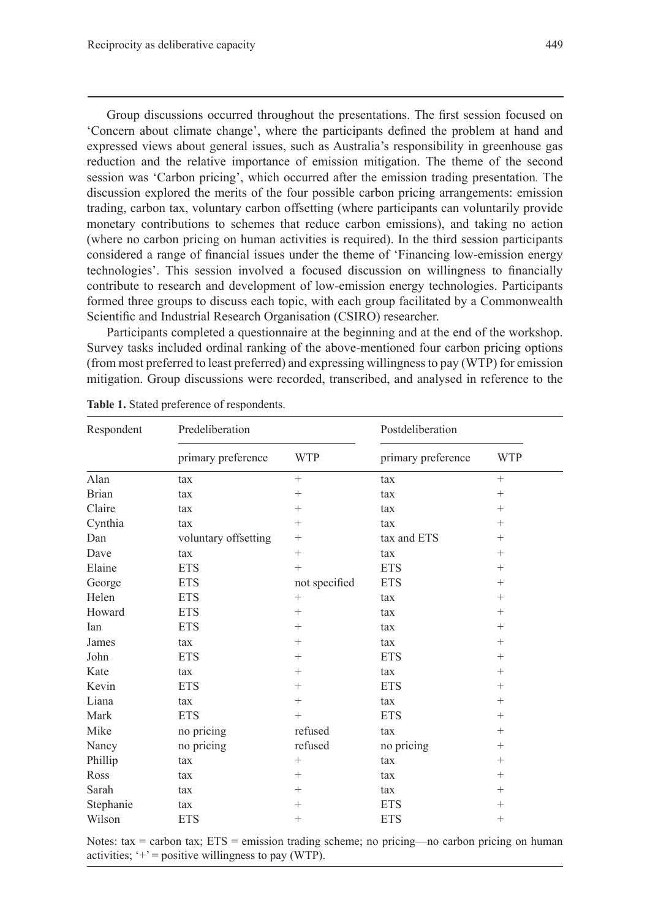Group discussions occurred throughout the presentations. The first session focused on 'Concern about climate change', where the participants defined the problem at hand and expressed views about general issues, such as Australia's responsibility in greenhouse gas reduction and the relative importance of emission mitigation. The theme of the second session was 'Carbon pricing', which occurred after the emission trading presentation*.* The discussion explored the merits of the four possible carbon pricing arrangements: emission trading, carbon tax, voluntary carbon offsetting (where participants can voluntarily provide monetary contributions to schemes that reduce carbon emissions), and taking no action (where no carbon pricing on human activities is required). In the third session participants considered a range of financial issues under the theme of 'Financing low-emission energy technologies'. This session involved a focused discussion on willingness to financially contribute to research and development of low-emission energy technologies. Participants

Scientific and Industrial Research Organisation (CSIRO) researcher. Participants completed a questionnaire at the beginning and at the end of the workshop. Survey tasks included ordinal ranking of the above-mentioned four carbon pricing options (from most preferred to least preferred) and expressing willingness to pay (WTP) for emission mitigation. Group discussions were recorded, transcribed, and analysed in reference to the

formed three groups to discuss each topic, with each group facilitated by a Commonwealth

| Respondent   | Predeliberation      |                  | Postdeliberation   |                  |
|--------------|----------------------|------------------|--------------------|------------------|
|              | primary preference   | <b>WTP</b>       | primary preference | <b>WTP</b>       |
| Alan         | tax                  | $^{+}$           | tax                | $\boldsymbol{+}$ |
| <b>Brian</b> | tax                  | $^{+}$           | tax                | $^{+}$           |
| Claire       | tax                  | $^{+}$           | tax                | $^{+}$           |
| Cynthia      | tax                  | $+$              | tax                | $^{+}$           |
| Dan          | voluntary offsetting | $^{+}$           | tax and ETS        | $^{+}$           |
| Dave         | tax                  | $^{+}$           | tax                | $^{+}$           |
| Elaine       | <b>ETS</b>           | $\boldsymbol{+}$ | <b>ETS</b>         | $^{+}$           |
| George       | <b>ETS</b>           | not specified    | <b>ETS</b>         | $^{+}$           |
| Helen        | <b>ETS</b>           | $^{+}$           | tax                | $^{+}$           |
| Howard       | <b>ETS</b>           |                  | tax                | $^{+}$           |
| Ian          | <b>ETS</b>           | $^{+}$           | tax                | $^{+}$           |
| James        | tax                  | $^{+}$           | tax                | $^{+}$           |
| John         | <b>ETS</b>           | $^{+}$           | <b>ETS</b>         | $^{+}$           |
| Kate         | tax                  | $^{+}$           | tax                | $^{+}$           |
| Kevin        | <b>ETS</b>           | $^{+}$           | <b>ETS</b>         | $^{+}$           |
| Liana        | tax                  | $^{+}$           | tax                | $^{+}$           |
| Mark         | <b>ETS</b>           | $+$              | <b>ETS</b>         | $^{+}$           |
| Mike         | no pricing           | refused          | tax                | $^{+}$           |
| Nancy        | no pricing           | refused          | no pricing         | $^{+}$           |
| Phillip      | tax                  | $^{+}$           | tax                | $^{+}$           |
| Ross         | tax                  | $^{+}$           | tax                | $^{+}$           |
| Sarah        | tax                  | $^{+}$           | tax                | $^{+}$           |
| Stephanie    | tax                  | $^{+}$           | <b>ETS</b>         | $^{+}$           |
| Wilson       | <b>ETS</b>           |                  | <b>ETS</b>         | $^{+}$           |

**Table 1.** Stated preference of respondents.

Notes:  $tax = carbon tax$ ;  $ETS = emission trading scheme$ ; no pricing—no carbon pricing on human activities;  $+$  = positive willingness to pay (WTP).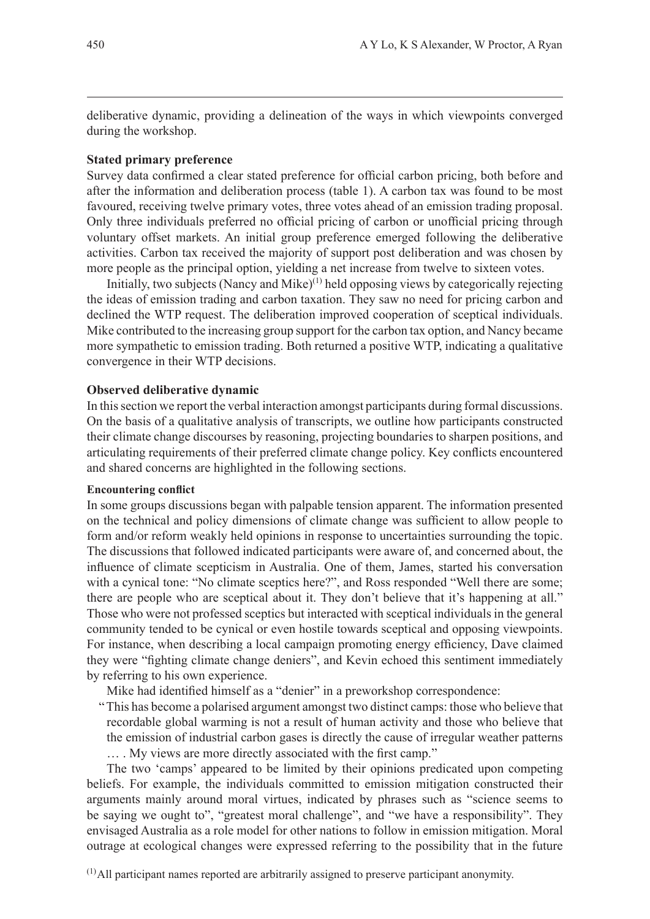deliberative dynamic, providing a delineation of the ways in which viewpoints converged during the workshop.

## **Stated primary preference**

Survey data confirmed a clear stated preference for official carbon pricing, both before and after the information and deliberation process (table 1). A carbon tax was found to be most favoured, receiving twelve primary votes, three votes ahead of an emission trading proposal. Only three individuals preferred no official pricing of carbon or unofficial pricing through voluntary offset markets. An initial group preference emerged following the deliberative activities. Carbon tax received the majority of support post deliberation and was chosen by more people as the principal option, yielding a net increase from twelve to sixteen votes.

Initially, two subjects (Nancy and Mike) $(1)$  held opposing views by categorically rejecting the ideas of emission trading and carbon taxation. They saw no need for pricing carbon and declined the WTP request. The deliberation improved cooperation of sceptical individuals. Mike contributed to the increasing group support for the carbon tax option, and Nancy became more sympathetic to emission trading. Both returned a positive WTP, indicating a qualitative convergence in their WTP decisions.

## **Observed deliberative dynamic**

In this section we report the verbal interaction amongst participants during formal discussions. On the basis of a qualitative analysis of transcripts, we outline how participants constructed their climate change discourses by reasoning, projecting boundaries to sharpen positions, and articulating requirements of their preferred climate change policy. Key conflicts encountered and shared concerns are highlighted in the following sections.

#### **Encountering confl ict**

In some groups discussions began with palpable tension apparent. The information presented on the technical and policy dimensions of climate change was sufficient to allow people to form and/or reform weakly held opinions in response to uncertainties surrounding the topic. The discussions that followed indicated participants were aware of, and concerned about, the influence of climate scepticism in Australia. One of them, James, started his conversation with a cynical tone: "No climate sceptics here?", and Ross responded "Well there are some; there are people who are sceptical about it. They don't believe that it's happening at all." Those who were not professed sceptics but interacted with sceptical individuals in the general community tended to be cynical or even hostile towards sceptical and opposing viewpoints. For instance, when describing a local campaign promoting energy efficiency, Dave claimed they were "fighting climate change deniers", and Kevin echoed this sentiment immediately by referring to his own experience.

Mike had identified himself as a "denier" in a preworkshop correspondence:

" This has become a polarised argument amongst two distinct camps: those who believe that recordable global warming is not a result of human activity and those who believe that the emission of industrial carbon gases is directly the cause of irregular weather patterns

... . My views are more directly associated with the first camp."

The two 'camps' appeared to be limited by their opinions predicated upon competing beliefs. For example, the individuals committed to emission mitigation constructed their arguments mainly around moral virtues, indicated by phrases such as "science seems to be saying we ought to", "greatest moral challenge", and "we have a responsibility". They envisaged Australia as a role model for other nations to follow in emission mitigation. Moral outrage at ecological changes were expressed referring to the possibility that in the future

 $<sup>(1)</sup>$ All participant names reported are arbitrarily assigned to preserve participant anonymity.</sup>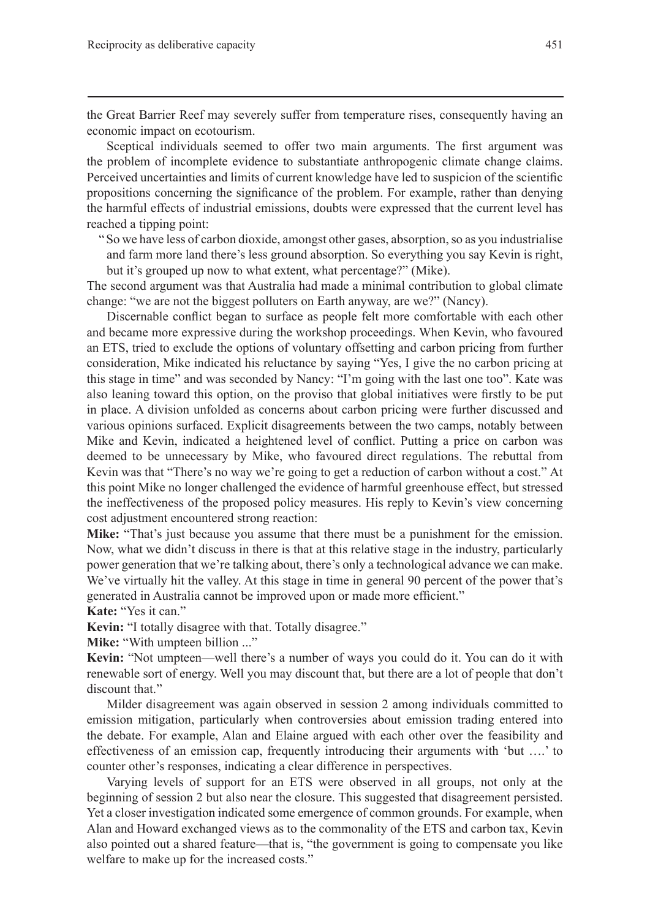the Great Barrier Reef may severely suffer from temperature rises, consequently having an economic impact on ecotourism.

Sceptical individuals seemed to offer two main arguments. The first argument was the problem of incomplete evidence to substantiate anthropogenic climate change claims. Perceived uncertainties and limits of current knowledge have led to suspicion of the scientific propositions concerning the significance of the problem. For example, rather than denying the harmful effects of industrial emissions, doubts were expressed that the current level has reached a tipping point:

" So we have less of carbon dioxide, amongst other gases, absorption, so as you industrialise and farm more land there's less ground absorption. So everything you say Kevin is right, but it's grouped up now to what extent, what percentage?" (Mike).

The second argument was that Australia had made a minimal contribution to global climate change: "we are not the biggest polluters on Earth anyway, are we?" (Nancy).

Discernable conflict began to surface as people felt more comfortable with each other and became more expressive during the workshop proceedings. When Kevin, who favoured an ETS, tried to exclude the options of voluntary offsetting and carbon pricing from further consideration, Mike indicated his reluctance by saying "Yes, I give the no carbon pricing at this stage in time" and was seconded by Nancy: "I'm going with the last one too". Kate was also leaning toward this option, on the proviso that global initiatives were firstly to be put in place. A division unfolded as concerns about carbon pricing were further discussed and various opinions surfaced. Explicit disagreements between the two camps, notably between Mike and Kevin, indicated a heightened level of conflict. Putting a price on carbon was deemed to be unnecessary by Mike, who favoured direct regulations. The rebuttal from Kevin was that "There's no way we're going to get a reduction of carbon without a cost." At this point Mike no longer challenged the evidence of harmful greenhouse effect, but stressed the ineffectiveness of the proposed policy measures. His reply to Kevin's view concerning cost adjustment encountered strong reaction:

**Mike:** "That's just because you assume that there must be a punishment for the emission. Now, what we didn't discuss in there is that at this relative stage in the industry, particularly power generation that we're talking about, there's only a technological advance we can make. We've virtually hit the valley. At this stage in time in general 90 percent of the power that's generated in Australia cannot be improved upon or made more efficient."

**Kate:** "Yes it can."

**Kevin:** "I totally disagree with that. Totally disagree."

**Mike:** "With umpteen billion ..."

**Kevin:** "Not umpteen—well there's a number of ways you could do it. You can do it with renewable sort of energy. Well you may discount that, but there are a lot of people that don't discount that."

Milder disagreement was again observed in session 2 among individuals committed to emission mitigation, particularly when controversies about emission trading entered into the debate. For example, Alan and Elaine argued with each other over the feasibility and effectiveness of an emission cap, frequently introducing their arguments with 'but ….' to counter other's responses, indicating a clear difference in perspectives.

Varying levels of support for an ETS were observed in all groups, not only at the beginning of session 2 but also near the closure. This suggested that disagreement persisted. Yet a closer investigation indicated some emergence of common grounds. For example, when Alan and Howard exchanged views as to the commonality of the ETS and carbon tax, Kevin also pointed out a shared feature—that is, "the government is going to compensate you like welfare to make up for the increased costs."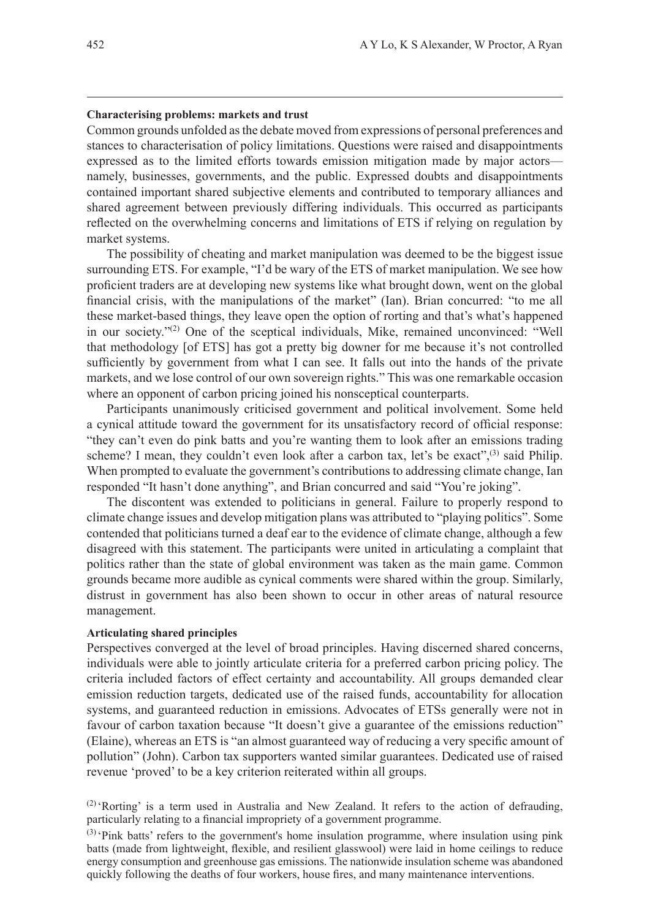## **Characterising problems: markets and trust**

Common grounds unfolded as the debate moved from expressions of personal preferences and stances to characterisation of policy limitations. Questions were raised and disappointments expressed as to the limited efforts towards emission mitigation made by major actors namely, businesses, governments, and the public. Expressed doubts and disappointments contained important shared subjective elements and contributed to temporary alliances and shared agreement between previously differing individuals. This occurred as participants reflected on the overwhelming concerns and limitations of ETS if relying on regulation by market systems.

The possibility of cheating and market manipulation was deemed to be the biggest issue surrounding ETS. For example, "I'd be wary of the ETS of market manipulation. We see how proficient traders are at developing new systems like what brought down, went on the global financial crisis, with the manipulations of the market" (Ian). Brian concurred: "to me all these market-based things, they leave open the option of rorting and that's what's happened in our society."(2) One of the sceptical individuals, Mike, remained unconvinced: "Well that methodology [of ETS] has got a pretty big downer for me because it's not controlled sufficiently by government from what I can see. It falls out into the hands of the private markets, and we lose control of our own sovereign rights." This was one remarkable occasion where an opponent of carbon pricing joined his nonsceptical counterparts.

Participants unanimously criticised government and political involvement. Some held a cynical attitude toward the government for its unsatisfactory record of official response: "they can't even do pink batts and you're wanting them to look after an emissions trading scheme? I mean, they couldn't even look after a carbon tax, let's be exact",<sup>(3)</sup> said Philip. When prompted to evaluate the government's contributions to addressing climate change, Ian responded "It hasn't done anything", and Brian concurred and said "You're joking".

The discontent was extended to politicians in general. Failure to properly respond to climate change issues and develop mitigation plans was attributed to "playing politics". Some contended that politicians turned a deaf ear to the evidence of climate change, although a few disagreed with this statement. The participants were united in articulating a complaint that politics rather than the state of global environment was taken as the main game. Common grounds became more audible as cynical comments were shared within the group. Similarly, distrust in government has also been shown to occur in other areas of natural resource management.

#### **Articulating shared principles**

Perspectives converged at the level of broad principles. Having discerned shared concerns, individuals were able to jointly articulate criteria for a preferred carbon pricing policy. The criteria included factors of effect certainty and accountability. All groups demanded clear emission reduction targets, dedicated use of the raised funds, accountability for allocation systems, and guaranteed reduction in emissions. Advocates of ETSs generally were not in favour of carbon taxation because "It doesn't give a guarantee of the emissions reduction" (Elaine), whereas an ETS is "an almost guaranteed way of reducing a very specific amount of pollution" (John). Carbon tax supporters wanted similar guarantees. Dedicated use of raised revenue 'proved' to be a key criterion reiterated within all groups.

 $(2)$  Rorting' is a term used in Australia and New Zealand. It refers to the action of defrauding, particularly relating to a financial impropriety of a government programme.

 $^{(3)}$  'Pink batts' refers to the government's home insulation programme, where insulation using pink batts (made from lightweight, flexible, and resilient glasswool) were laid in home ceilings to reduce energy consumption and greenhouse gas emissions. The nationwide insulation scheme was abandoned quickly following the deaths of four workers, house fires, and many maintenance interventions.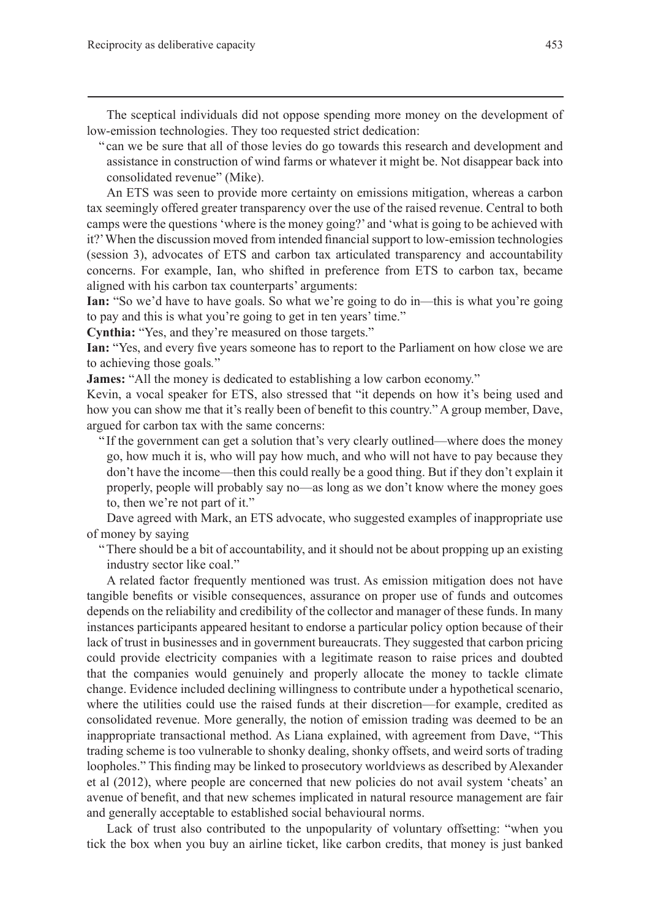The sceptical individuals did not oppose spending more money on the development of low-emission technologies. They too requested strict dedication:

" can we be sure that all of those levies do go towards this research and development and assistance in construction of wind farms or whatever it might be. Not disappear back into consolidated revenue" (Mike).

An ETS was seen to provide more certainty on emissions mitigation, whereas a carbon tax seemingly offered greater transparency over the use of the raised revenue. Central to both camps were the questions 'where is the money going?' and 'what is going to be achieved with it?' When the discussion moved from intended financial support to low-emission technologies (session 3), advocates of ETS and carbon tax articulated transparency and accountability concerns. For example, Ian, who shifted in preference from ETS to carbon tax, became aligned with his carbon tax counterparts' arguments:

**Ian:** "So we'd have to have goals. So what we're going to do in—this is what you're going to pay and this is what you're going to get in ten years' time."

**Cynthia:** "Yes, and they're measured on those targets."

**Ian:** "Yes, and every five years someone has to report to the Parliament on how close we are to achieving those goals*.*"

James: "All the money is dedicated to establishing a low carbon economy."

Kevin, a vocal speaker for ETS, also stressed that "it depends on how it's being used and how you can show me that it's really been of benefit to this country." A group member, Dave, argued for carbon tax with the same concerns:

" If the government can get a solution that's very clearly outlined—where does the money go, how much it is, who will pay how much, and who will not have to pay because they don't have the income—then this could really be a good thing. But if they don't explain it properly, people will probably say no—as long as we don't know where the money goes to, then we're not part of it."

Dave agreed with Mark, an ETS advocate, who suggested examples of inappropriate use of money by saying

" There should be a bit of accountability, and it should not be about propping up an existing industry sector like coal."

A related factor frequently mentioned was trust. As emission mitigation does not have tangible benefits or visible consequences, assurance on proper use of funds and outcomes depends on the reliability and credibility of the collector and manager of these funds. In many instances participants appeared hesitant to endorse a particular policy option because of their lack of trust in businesses and in government bureaucrats. They suggested that carbon pricing could provide electricity companies with a legitimate reason to raise prices and doubted that the companies would genuinely and properly allocate the money to tackle climate change. Evidence included declining willingness to contribute under a hypothetical scenario, where the utilities could use the raised funds at their discretion—for example, credited as consolidated revenue. More generally, the notion of emission trading was deemed to be an inappropriate transactional method. As Liana explained, with agreement from Dave, "This trading scheme is too vulnerable to shonky dealing, shonky offsets, and weird sorts of trading loopholes." This finding may be linked to prosecutory worldviews as described by Alexander et al (2012), where people are concerned that new policies do not avail system 'cheats' an avenue of benefit, and that new schemes implicated in natural resource management are fair and generally acceptable to established social behavioural norms.

Lack of trust also contributed to the unpopularity of voluntary offsetting: "when you tick the box when you buy an airline ticket, like carbon credits, that money is just banked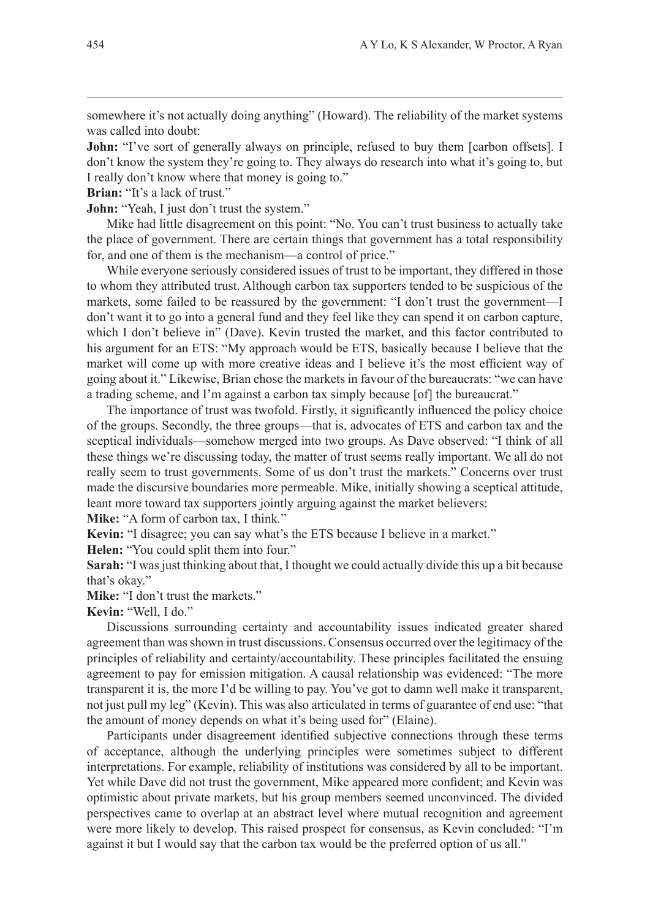somewhere it's not actually doing anything" (Howard). The reliability of the market systems was called into doubt:

**John:** "I've sort of generally always on principle, refused to buy them [carbon offsets]. I don't know the system they're going to. They always do research into what it's going to, but I really don't know where that money is going to."

**Brian:** "It's a lack of trust."

**John:** "Yeah, I just don't trust the system."

Mike had little disagreement on this point: "No. You can't trust business to actually take the place of government. There are certain things that government has a total responsibility for, and one of them is the mechanism—a control of price."

While everyone seriously considered issues of trust to be important, they differed in those to whom they attributed trust. Although carbon tax supporters tended to be suspicious of the markets, some failed to be reassured by the government: "I don't trust the government—I don't want it to go into a general fund and they feel like they can spend it on carbon capture, which I don't believe in" (Dave). Kevin trusted the market, and this factor contributed to his argument for an ETS: "My approach would be ETS, basically because I believe that the market will come up with more creative ideas and I believe it's the most efficient way of going about it." Likewise, Brian chose the markets in favour of the bureaucrats: "we can have a trading scheme, and I'm against a carbon tax simply because [of] the bureaucrat."

The importance of trust was twofold. Firstly, it significantly influenced the policy choice of the groups. Secondly, the three groups—that is, advocates of ETS and carbon tax and the sceptical individuals—somehow merged into two groups. As Dave observed: "I think of all these things we're discussing today, the matter of trust seems really important. We all do not really seem to trust governments. Some of us don't trust the markets." Concerns over trust made the discursive boundaries more permeable. Mike, initially showing a sceptical attitude, leant more toward tax supporters jointly arguing against the market believers:

**Mike:** "A form of carbon tax, I think*.*"

**Kevin:** "I disagree; you can say what's the ETS because I believe in a market."

**Helen:** "You could split them into four."

**Sarah:** "I was just thinking about that, I thought we could actually divide this up a bit because that's okay."

**Mike:** "I don't trust the markets."

**Kevin:** "Well, I do."

Discussions surrounding certainty and accountability issues indicated greater shared agreement than was shown in trust discussions. Consensus occurred over the legitimacy of the principles of reliability and certainty/accountability. These principles facilitated the ensuing agreement to pay for emission mitigation. A causal relationship was evidenced: "The more transparent it is, the more I'd be willing to pay. You've got to damn well make it transparent, not just pull my leg" (Kevin). This was also articulated in terms of guarantee of end use: "that the amount of money depends on what it's being used for" (Elaine).

Participants under disagreement identified subjective connections through these terms of acceptance, although the underlying principles were sometimes subject to different interpretations. For example, reliability of institutions was considered by all to be important. Yet while Dave did not trust the government, Mike appeared more confident; and Kevin was optimistic about private markets, but his group members seemed unconvinced. The divided perspectives came to overlap at an abstract level where mutual recognition and agreement were more likely to develop. This raised prospect for consensus, as Kevin concluded: "I'm against it but I would say that the carbon tax would be the preferred option of us all."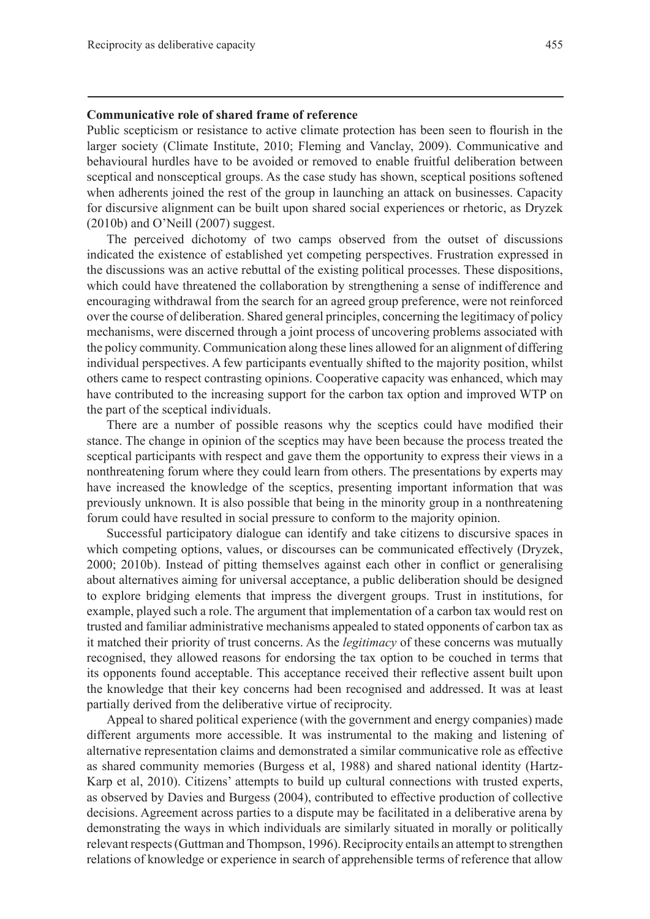# **Communicative role of shared frame of reference**

Public scepticism or resistance to active climate protection has been seen to flourish in the larger society (Climate Institute, 2010; Fleming and Vanclay, 2009). Communicative and behavioural hurdles have to be avoided or removed to enable fruitful deliberation between sceptical and nonsceptical groups. As the case study has shown, sceptical positions softened when adherents joined the rest of the group in launching an attack on businesses. Capacity for discursive alignment can be built upon shared social experiences or rhetoric, as Dryzek (2010b) and O'Neill (2007) suggest.

The perceived dichotomy of two camps observed from the outset of discussions indicated the existence of established yet competing perspectives. Frustration expressed in the discussions was an active rebuttal of the existing political processes. These dispositions, which could have threatened the collaboration by strengthening a sense of indifference and encouraging withdrawal from the search for an agreed group preference, were not reinforced over the course of deliberation. Shared general principles, concerning the legitimacy of policy mechanisms, were discerned through a joint process of uncovering problems associated with the policy community. Communication along these lines allowed for an alignment of differing individual perspectives. A few participants eventually shifted to the majority position, whilst others came to respect contrasting opinions. Cooperative capacity was enhanced, which may have contributed to the increasing support for the carbon tax option and improved WTP on the part of the sceptical individuals.

There are a number of possible reasons why the sceptics could have modified their stance. The change in opinion of the sceptics may have been because the process treated the sceptical participants with respect and gave them the opportunity to express their views in a nonthreatening forum where they could learn from others. The presentations by experts may have increased the knowledge of the sceptics, presenting important information that was previously unknown. It is also possible that being in the minority group in a nonthreatening forum could have resulted in social pressure to conform to the majority opinion.

Successful participatory dialogue can identify and take citizens to discursive spaces in which competing options, values, or discourses can be communicated effectively (Dryzek, 2000; 2010b). Instead of pitting themselves against each other in conflict or generalising about alternatives aiming for universal acceptance, a public deliberation should be designed to explore bridging elements that impress the divergent groups. Trust in institutions, for example, played such a role. The argument that implementation of a carbon tax would rest on trusted and familiar administrative mechanisms appealed to stated opponents of carbon tax as it matched their priority of trust concerns. As the *legitimacy* of these concerns was mutually recognised, they allowed reasons for endorsing the tax option to be couched in terms that its opponents found acceptable. This acceptance received their reflective assent built upon the knowledge that their key concerns had been recognised and addressed. It was at least partially derived from the deliberative virtue of reciprocity.

Appeal to shared political experience (with the government and energy companies) made different arguments more accessible. It was instrumental to the making and listening of alternative representation claims and demonstrated a similar communicative role as effective as shared community memories (Burgess et al, 1988) and shared national identity (Hartz-Karp et al, 2010). Citizens' attempts to build up cultural connections with trusted experts, as observed by Davies and Burgess (2004), contributed to effective production of collective decisions. Agreement across parties to a dispute may be facilitated in a deliberative arena by demonstrating the ways in which individuals are similarly situated in morally or politically relevant respects (Guttman and Thompson, 1996). Reciprocity entails an attempt to strengthen relations of knowledge or experience in search of apprehensible terms of reference that allow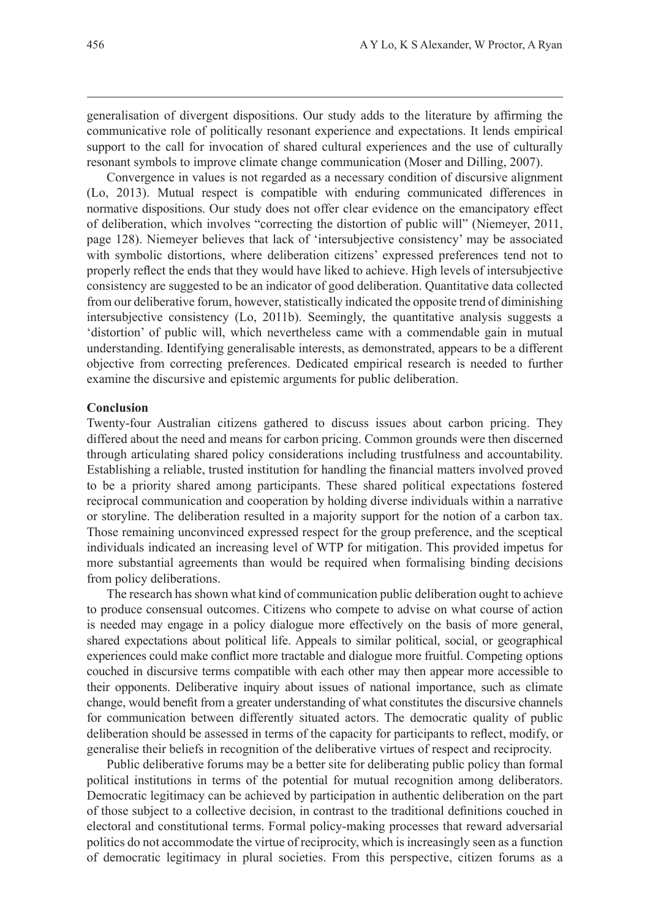generalisation of divergent dispositions. Our study adds to the literature by affirming the communicative role of politically resonant experience and expectations. It lends empirical support to the call for invocation of shared cultural experiences and the use of culturally resonant symbols to improve climate change communication (Moser and Dilling, 2007).

Convergence in values is not regarded as a necessary condition of discursive alignment (Lo, 2013). Mutual respect is compatible with enduring communicated differences in normative dispositions. Our study does not offer clear evidence on the emancipatory effect of deliberation, which involves "correcting the distortion of public will" (Niemeyer, 2011, page 128). Niemeyer believes that lack of 'intersubjective consistency' may be associated with symbolic distortions, where deliberation citizens' expressed preferences tend not to properly reflect the ends that they would have liked to achieve. High levels of intersubjective consistency are suggested to be an indicator of good deliberation. Quantitative data collected from our deliberative forum, however, statistically indicated the opposite trend of diminishing intersubjective consistency (Lo, 2011b). Seemingly, the quantitative analysis suggests a 'distortion' of public will, which nevertheless came with a commendable gain in mutual understanding. Identifying generalisable interests, as demonstrated, appears to be a different objective from correcting preferences. Dedicated empirical research is needed to further examine the discursive and epistemic arguments for public deliberation.

#### **Conclusion**

Twenty-four Australian citizens gathered to discuss issues about carbon pricing. They differed about the need and means for carbon pricing. Common grounds were then discerned through articulating shared policy considerations including trustfulness and accountability. Establishing a reliable, trusted institution for handling the financial matters involved proved to be a priority shared among participants. These shared political expectations fostered reciprocal communication and cooperation by holding diverse individuals within a narrative or storyline. The deliberation resulted in a majority support for the notion of a carbon tax. Those remaining unconvinced expressed respect for the group preference, and the sceptical individuals indicated an increasing level of WTP for mitigation. This provided impetus for more substantial agreements than would be required when formalising binding decisions from policy deliberations.

The research has shown what kind of communication public deliberation ought to achieve to produce consensual outcomes. Citizens who compete to advise on what course of action is needed may engage in a policy dialogue more effectively on the basis of more general, shared expectations about political life. Appeals to similar political, social, or geographical experiences could make conflict more tractable and dialogue more fruitful. Competing options couched in discursive terms compatible with each other may then appear more accessible to their opponents. Deliberative inquiry about issues of national importance, such as climate change, would benefit from a greater understanding of what constitutes the discursive channels for communication between differently situated actors. The democratic quality of public deliberation should be assessed in terms of the capacity for participants to reflect, modify, or generalise their beliefs in recognition of the deliberative virtues of respect and reciprocity.

Public deliberative forums may be a better site for deliberating public policy than formal political institutions in terms of the potential for mutual recognition among deliberators. Democratic legitimacy can be achieved by participation in authentic deliberation on the part of those subject to a collective decision, in contrast to the traditional definitions couched in electoral and constitutional terms. Formal policy-making processes that reward adversarial politics do not accommodate the virtue of reciprocity, which is increasingly seen as a function of democratic legitimacy in plural societies. From this perspective, citizen forums as a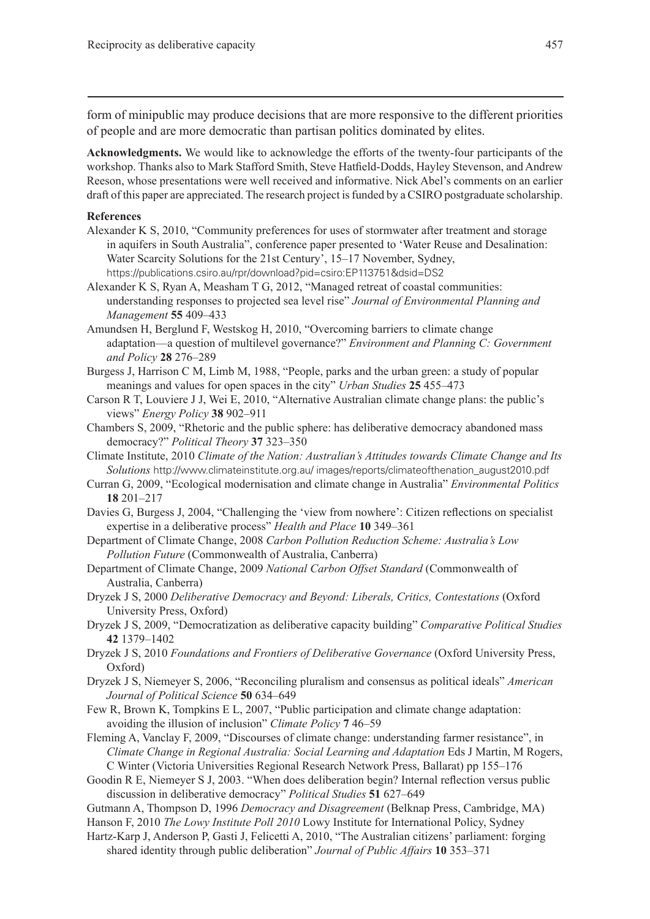form of minipublic may produce decisions that are more responsive to the different priorities of people and are more democratic than partisan politics dominated by elites.

**Acknowledgments.** We would like to acknowledge the efforts of the twenty-four participants of the workshop. Thanks also to Mark Stafford Smith, Steve Hatfield-Dodds, Hayley Stevenson, and Andrew Reeson, whose presentations were well received and informative. Nick Abel's comments on an earlier draft of this paper are appreciated. The research project is funded by a CSIRO postgraduate scholarship.

## **References**

- Alexander K S, 2010, "Community preferences for uses of stormwater after treatment and storage in aquifers in South Australia", conference paper presented to 'Water Reuse and Desalination: Water Scarcity Solutions for the 21st Century', 15–17 November, Sydney, https://publications.csiro.au/rpr/download?pid=csiro:EP113751&dsid=DS2
- Alexander K S, Ryan A, Measham T G, 2012, "Managed retreat of coastal communities: understanding responses to projected sea level rise" *Journal of Environmental Planning and Management* **55** 409–433
- Amundsen H, Berglund F, Westskog H, 2010, "Overcoming barriers to climate change adaptation—a question of multilevel governance?" *Environment and Planning C: Government and Policy* **28** 276–289
- Burgess J, Harrison C M, Limb M, 1988, "People, parks and the urban green: a study of popular meanings and values for open spaces in the city" *Urban Studies* **25** 455–473
- Carson R T, Louviere J J, Wei E, 2010, "Alternative Australian climate change plans: the public's views" *Energy Policy* **38** 902–911
- Chambers S, 2009, "Rhetoric and the public sphere: has deliberative democracy abandoned mass democracy?" *Political Theory* **37** 323–350
- Climate Institute, 2010 *Climate of the Nation: Australian's Attitudes towards Climate Change and Its Solutions* http://www.climateinstitute.org.au/ images/reports/climateofthenation\_august2010.pdf
- Curran G, 2009, "Ecological modernisation and climate change in Australia" *Environmental Politics*  **18** 201–217
- Davies G, Burgess J, 2004, "Challenging the 'view from nowhere': Citizen reflections on specialist expertise in a deliberative process" *Health and Place* **10** 349–361
- Department of Climate Change, 2008 *Carbon Pollution Reduction Scheme: Australia's Low Pollution Future* (Commonwealth of Australia, Canberra)
- Department of Climate Change, 2009 *National Carbon Offset Standard* (Commonwealth of Australia, Canberra)
- Dryzek J S, 2000 *Deliberative Democracy and Beyond: Liberals, Critics, Contestations* (Oxford University Press, Oxford)
- Dryzek J S, 2009, "Democratization as deliberative capacity building" *Comparative Political Studies* **42** 1379–1402
- Dryzek J S, 2010 *Foundations and Frontiers of Deliberative Governance* (Oxford University Press, Oxford)
- Dryzek J S, Niemeyer S, 2006, "Reconciling pluralism and consensus as political ideals" *American Journal of Political Science* **50** 634–649
- Few R, Brown K, Tompkins E L, 2007, "Public participation and climate change adaptation: avoiding the illusion of inclusion" *Climate Policy* **7** 46–59
- Fleming A, Vanclay F, 2009, "Discourses of climate change: understanding farmer resistance", in *Climate Change in Regional Australia: Social Learning and Adaptation* Eds J Martin, M Rogers, C Winter (Victoria Universities Regional Research Network Press, Ballarat) pp 155–176
- Goodin R E, Niemeyer S J, 2003. "When does deliberation begin? Internal reflection versus public discussion in deliberative democracy" *Political Studies* **51** 627–649
- Gutmann A, Thompson D, 1996 *Democracy and Disagreement* (Belknap Press, Cambridge, MA)
- Hanson F, 2010 *The Lowy Institute Poll 2010* Lowy Institute for International Policy, Sydney
- Hartz-Karp J, Anderson P, Gasti J, Felicetti A, 2010, "The Australian citizens' parliament: forging shared identity through public deliberation" *Journal of Public Affairs* **10** 353–371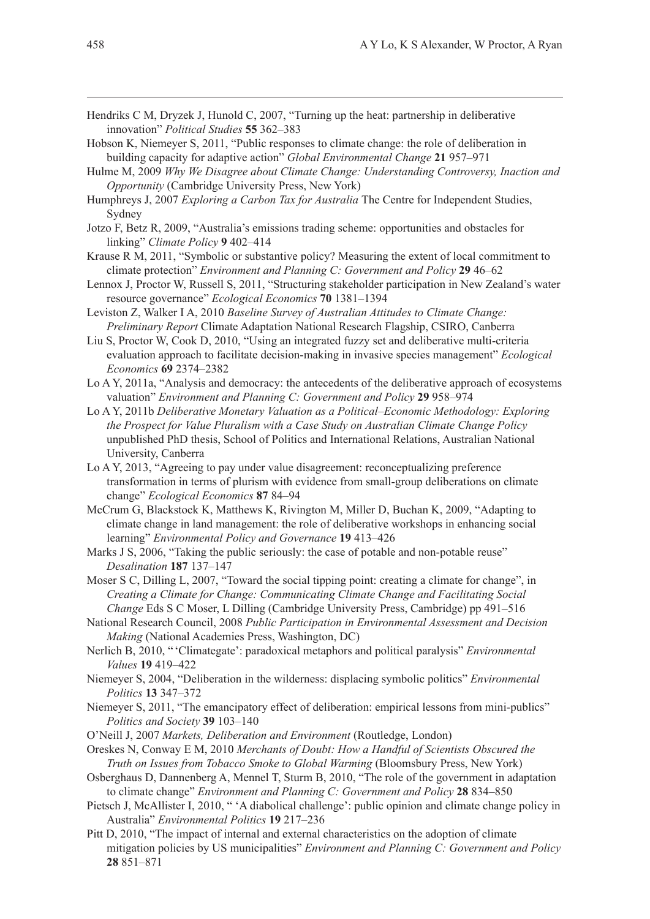- Hendriks C M, Dryzek J, Hunold C, 2007, "Turning up the heat: partnership in deliberative innovation" *Political Studies* **55** 362–383
- Hobson K, Niemeyer S, 2011, "Public responses to climate change: the role of deliberation in building capacity for adaptive action" *Global Environmental Change* **21** 957–971
- Hulme M, 2009 *Why We Disagree about Climate Change: Understanding Controversy, Inaction and Opportunity* (Cambridge University Press, New York)
- Humphreys J, 2007 *Exploring a Carbon Tax for Australia* The Centre for Independent Studies, Sydney
- Jotzo F, Betz R, 2009, "Australia's emissions trading scheme: opportunities and obstacles for linking" *Climate Policy* **9** 402–414
- Krause R M, 2011, "Symbolic or substantive policy? Measuring the extent of local commitment to climate protection" *Environment and Planning C: Government and Policy* **29** 46–62
- Lennox J, Proctor W, Russell S, 2011, "Structuring stakeholder participation in New Zealand's water resource governance" *Ecological Economics* **70** 1381–1394
- Leviston Z, Walker I A, 2010 *Baseline Survey of Australian Attitudes to Climate Change: Preliminary Report* Climate Adaptation National Research Flagship, CSIRO, Canberra
- Liu S, Proctor W, Cook D, 2010, "Using an integrated fuzzy set and deliberative multi-criteria evaluation approach to facilitate decision-making in invasive species management" *Ecological Economics* **69** 2374–2382
- Lo A Y, 2011a, "Analysis and democracy: the antecedents of the deliberative approach of ecosystems valuation" *Environment and Planning C: Government and Policy* **29** 958–974
- Lo A Y, 2011b *Deliberative Monetary Valuation as a Political–Economic Methodology: Exploring the Prospect for Value Pluralism with a Case Study on Australian Climate Change Policy* unpublished PhD thesis, School of Politics and International Relations, Australian National University, Canberra
- Lo A Y, 2013, "Agreeing to pay under value disagreement: reconceptualizing preference transformation in terms of plurism with evidence from small-group deliberations on climate change" *Ecological Economics* **87** 84–94
- McCrum G, Blackstock K, Matthews K, Rivington M, Miller D, Buchan K, 2009, "Adapting to climate change in land management: the role of deliberative workshops in enhancing social learning" *Environmental Policy and Governance* **19** 413–426
- Marks J S, 2006, "Taking the public seriously: the case of potable and non-potable reuse" *Desalination* **187** 137–147
- Moser S C, Dilling L, 2007, "Toward the social tipping point: creating a climate for change", in *Creating a Climate for Change: Communicating Climate Change and Facilitating Social Change* Eds S C Moser, L Dilling (Cambridge University Press, Cambridge) pp 491–516
- National Research Council, 2008 *Public Participation in Environmental Assessment and Decision Making* (National Academies Press, Washington, DC)
- Nerlich B, 2010, " 'Climategate': paradoxical metaphors and political paralysis" *Environmental Values* **19** 419–422
- Niemeyer S, 2004, "Deliberation in the wilderness: displacing symbolic politics" *Environmental Politics* **13** 347–372
- Niemeyer S, 2011, "The emancipatory effect of deliberation: empirical lessons from mini-publics" *Politics and Society* **39** 103–140
- O'Neill J, 2007 *Markets, Deliberation and Environment* (Routledge, London)
- Oreskes N, Conway E M, 2010 *Merchants of Doubt: How a Handful of Scientists Obscured the Truth on Issues from Tobacco Smoke to Global Warming* (Bloomsbury Press, New York)
- Osberghaus D, Dannenberg A, Mennel T, Sturm B, 2010, "The role of the government in adaptation to climate change" *Environment and Planning C: Government and Policy* **28** 834–850
- Pietsch J, McAllister I, 2010, " 'A diabolical challenge': public opinion and climate change policy in Australia" *Environmental Politics* **19** 217–236
- Pitt D, 2010, "The impact of internal and external characteristics on the adoption of climate mitigation policies by US municipalities" *Environment and Planning C: Government and Policy* **28** 851–871